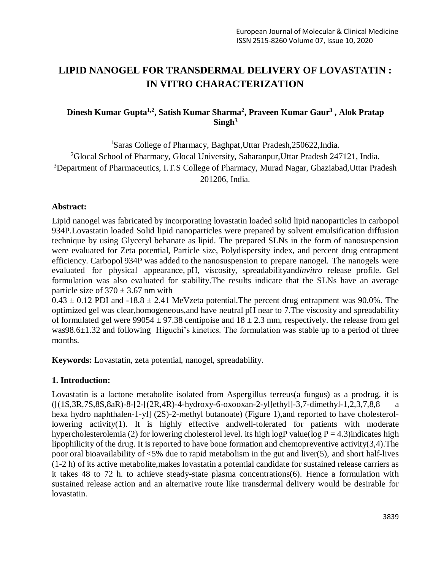# **LIPID NANOGEL FOR TRANSDERMAL DELIVERY OF LOVASTATIN : IN VITRO CHARACTERIZATION**

# **Dinesh Kumar Gupta1,2 , Satish Kumar Sharma<sup>2</sup> , Praveen Kumar Gaur<sup>3</sup> , Alok Pratap Singh<sup>3</sup>**

<sup>1</sup>Saras College of Pharmacy, Baghpat,Uttar Pradesh,250622,India. <sup>2</sup>Glocal School of Pharmacy, Glocal University, Saharanpur, Uttar Pradesh 247121, India. <sup>3</sup>Department of Pharmaceutics, I.T.S College of Pharmacy, Murad Nagar, Ghaziabad,Uttar Pradesh 201206, India.

#### **Abstract:**

Lipid nanogel was fabricated by incorporating lovastatin loaded solid lipid nanoparticles in carbopol 934P.Lovastatin loaded Solid lipid nanoparticles were prepared by solvent emulsification diffusion technique by using Glyceryl behanate as lipid. The prepared SLNs in the form of nanosuspension were evaluated for Zeta potential, Particle size, Polydispersity index, and percent drug entrapment efficiency. Carbopol 934P was added to the nanosuspension to prepare nanogel. The nanogels were evaluated for physical appearance, pH, viscosity, spreadabilityand*invitro* release profile. Gel formulation was also evaluated for stability.The results indicate that the SLNs have an average particle size of  $370 \pm 3.67$  nm with

 $0.43 \pm 0.12$  PDI and  $-18.8 \pm 2.41$  MeVzeta potential. The percent drug entrapment was 90.0%. The optimized gel was clear,homogeneous,and have neutral pH near to 7.The viscosity and spreadability of formulated gel were 99054  $\pm$  97.38 centipoise and 18  $\pm$  2.3 mm, respectively. the release from gel was98.6±1.32 and following Higuchi's kinetics. The formulation was stable up to a period of three months.

**Keywords:** Lovastatin, zeta potential, nanogel, spreadability.

#### **1. Introduction:**

Lovastatin is a lactone metabolite isolated from Aspergillus terreus(a fungus) as a prodrug. it is  $([1S,3R,7S,8S,8aR) - 8-[2-[(2R,4R) - 4-hydroxy-6-oxooxan-2-y]]ethyl]-3,7-dimethyl-1,2,3,7,8,8$  a hexa hydro naphthalen-1-yl] (2S)-2-methyl butanoate) (Figure 1), and reported to have cholesterollowering activity(1). It is highly effective andwell-tolerated for patients with moderate hypercholesterolemia (2) for lowering cholesterol level. its high logP value(log  $P = 4.3$ )indicates high lipophilicity of the drug. It is reported to have bone formation and chemopreventive activity(3,4).The poor oral bioavailability of <5% due to rapid metabolism in the gut and liver(5), and short half-lives (1-2 h) of its active metabolite,makes lovastatin a potential candidate for sustained release carriers as it takes 48 to 72 h. to achieve steady-state plasma concentrations(6). Hence a formulation with sustained release action and an alternative route like transdermal delivery would be desirable for lovastatin.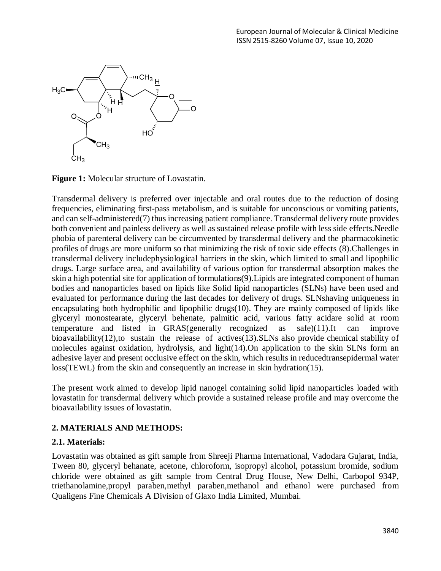

**Figure 1:** Molecular structure of Lovastatin.

Transdermal delivery is preferred over injectable and oral routes due to the reduction of dosing frequencies, eliminating first-pass metabolism, and is suitable for unconscious or vomiting patients, and can self-administered(7) thus increasing patient compliance. Transdermal delivery route provides both convenient and painless delivery as well as sustained release profile with less side effects.Needle phobia of parenteral delivery can be circumvented by transdermal delivery and the pharmacokinetic profiles of drugs are more uniform so that minimizing the risk of toxic side effects (8).Challenges in transdermal delivery includephysiological barriers in the skin, which limited to small and lipophilic drugs. Large surface area, and availability of various option for transdermal absorption makes the skin a high potential site for application of formulations(9). Lipids are integrated component of human bodies and nanoparticles based on lipids like Solid lipid nanoparticles (SLNs) have been used and evaluated for performance during the last decades for delivery of drugs. SLNshaving uniqueness in encapsulating both hydrophilic and lipophilic drugs(10). They are mainly composed of lipids like glyceryl monostearate, glyceryl behenate, palmitic acid, various fatty acidare solid at room temperature and listed in GRAS(generally recognized as safe)(11).It can improve bioavailability(12),to sustain the release of actives(13).SLNs also provide chemical stability of molecules against oxidation, hydrolysis, and light(14).On application to the skin SLNs form an adhesive layer and present occlusive effect on the skin, which results in reducedtransepidermal water loss(TEWL) from the skin and consequently an increase in skin hydration(15).

The present work aimed to develop lipid nanogel containing solid lipid nanoparticles loaded with lovastatin for transdermal delivery which provide a sustained release profile and may overcome the bioavailability issues of lovastatin.

#### **2. MATERIALS AND METHODS:**

#### **2.1. Materials:**

Lovastatin was obtained as gift sample from Shreeji Pharma International, Vadodara Gujarat, India, Tween 80, glyceryl behanate, acetone, chloroform, isopropyl alcohol, potassium bromide, sodium chloride were obtained as gift sample from Central Drug House, New Delhi, Carbopol 934P, triethanolamine,propyl paraben,methyl paraben,methanol and ethanol were purchased from Qualigens Fine Chemicals A Division of Glaxo India Limited, Mumbai.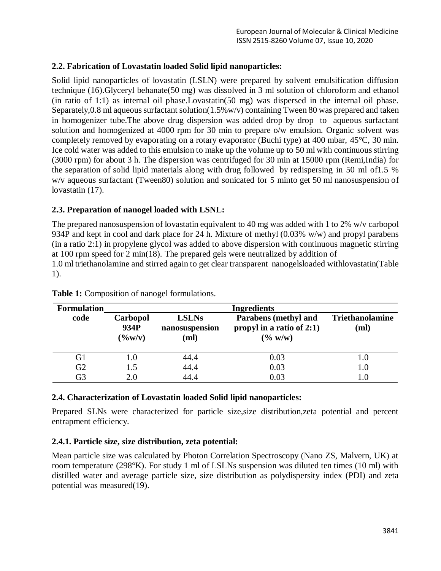## **2.2. Fabrication of Lovastatin loaded Solid lipid nanoparticles:**

Solid lipid nanoparticles of lovastatin (LSLN) were prepared by solvent emulsification diffusion technique (16).Glyceryl behanate(50 mg) was dissolved in 3 ml solution of chloroform and ethanol (in ratio of 1:1) as internal oil phase.Lovastatin(50 mg) was dispersed in the internal oil phase. Separately,0.8 ml aqueous surfactant solution(1.5%w/v) containing Tween 80 was prepared and taken in homogenizer tube.The above drug dispersion was added drop by drop to aqueous surfactant solution and homogenized at 4000 rpm for 30 min to prepare o/w emulsion. Organic solvent was completely removed by evaporating on a rotary evaporator (Buchi type) at 400 mbar, 45°C, 30 min. Ice cold water was added to this emulsion to make up the volume up to 50 ml with continuous stirring (3000 rpm) for about 3 h. The dispersion was centrifuged for 30 min at 15000 rpm (Remi,India) for the separation of solid lipid materials along with drug followed by redispersing in 50 ml of1.5 % w/v aqueous surfactant (Tween80) solution and sonicated for 5 minto get 50 ml nanosuspension of lovastatin  $(17)$ .

## **2.3. Preparation of nanogel loaded with LSNL:**

The prepared nanosuspension of lovastatin equivalent to 40 mg was added with 1 to 2% w/v carbopol 934P and kept in cool and dark place for 24 h. Mixture of methyl (0.03% w/w) and propyl parabens (in a ratio 2:1) in propylene glycol was added to above dispersion with continuous magnetic stirring at 100 rpm speed for 2 min(18). The prepared gels were neutralized by addition of 1.0 ml triethanolamine and stirred again to get clear transparent nanogelsloaded withlovastatin(Table 1).

| <b>Formulation</b> | <b>Ingredients</b>                  |                                        |                                                                           |                                |  |  |  |
|--------------------|-------------------------------------|----------------------------------------|---------------------------------------------------------------------------|--------------------------------|--|--|--|
| code               | Carbopol<br>934P<br>$(\frac{6}{W})$ | <b>LSLNs</b><br>nanosuspension<br>(ml) | <b>Parabens</b> (methyl and<br>propyl in a ratio of $2:1$ )<br>$(\% w/w)$ | <b>Triethanolamine</b><br>(ml) |  |  |  |
| G1                 |                                     | 44.4                                   | 0.03                                                                      | 1.0                            |  |  |  |
| G <sub>2</sub>     | 1.5                                 | 44.4                                   | 0.03                                                                      | 1.0                            |  |  |  |
| G3                 | 2.0                                 | 44.4                                   | 0.03                                                                      |                                |  |  |  |

**Table 1:** Composition of nanogel formulations.

#### **2.4. Characterization of Lovastatin loaded Solid lipid nanoparticles:**

Prepared SLNs were characterized for particle size,size distribution,zeta potential and percent entrapment efficiency.

## **2.4.1. Particle size, size distribution, zeta potential:**

Mean particle size was calculated by Photon Correlation Spectroscopy (Nano ZS, Malvern, UK) at room temperature (298°K). For study 1 ml of LSLNs suspension was diluted ten times (10 ml) with distilled water and average particle size, size distribution as polydispersity index (PDI) and zeta potential was measured(19).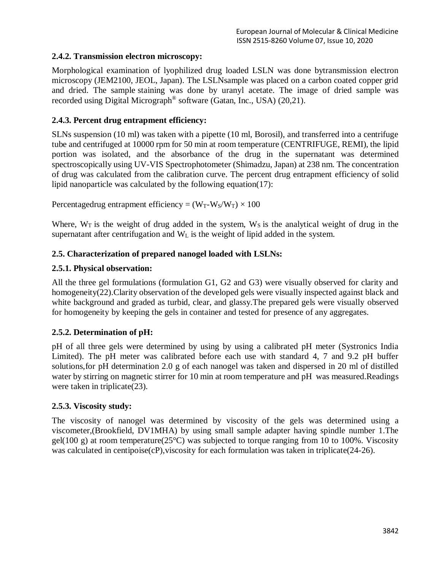# **2.4.2. Transmission electron microscopy:**

Morphological examination of lyophilized drug loaded LSLN was done bytransmission electron microscopy (JEM2100, JEOL, Japan). The LSLNsample was placed on a carbon coated copper grid and dried. The sample staining was done by uranyl acetate. The image of dried sample was recorded using Digital Micrograph<sup>®</sup> software (Gatan, Inc., USA) (20,21).

# **2.4.3. Percent drug entrapment efficiency:**

SLNs suspension (10 ml) was taken with a pipette (10 ml, Borosil), and transferred into a centrifuge tube and centrifuged at 10000 rpm for 50 min at room temperature (CENTRIFUGE, REMI), the lipid portion was isolated, and the absorbance of the drug in the supernatant was determined spectroscopically using UV-VIS Spectrophotometer (Shimadzu, Japan) at 238 nm. The concentration of drug was calculated from the calibration curve. The percent drug entrapment efficiency of solid lipid nanoparticle was calculated by the following equation(17):

Percentagedrug entrapment efficiency =  $(W_T-W_S/W_T) \times 100$ 

Where,  $W_T$  is the weight of drug added in the system,  $W_S$  is the analytical weight of drug in the supernatant after centrifugation and  $W<sub>L</sub>$  is the weight of lipid added in the system.

# **2.5. Characterization of prepared nanogel loaded with LSLNs:**

## **2.5.1. Physical observation:**

All the three gel formulations (formulation G1, G2 and G3) were visually observed for clarity and homogeneity(22).Clarity observation of the developed gels were visually inspected against black and white background and graded as turbid, clear, and glassy.The prepared gels were visually observed for homogeneity by keeping the gels in container and tested for presence of any aggregates.

## **2.5.2. Determination of pH:**

pH of all three gels were determined by using by using a calibrated pH meter (Systronics India Limited). The pH meter was calibrated before each use with standard 4, 7 and 9.2 pH buffer solutions,for pH determination 2.0 g of each nanogel was taken and dispersed in 20 ml of distilled water by stirring on magnetic stirrer for 10 min at room temperature and pH was measured.Readings were taken in triplicate(23).

## **2.5.3. Viscosity study:**

The viscosity of nanogel was determined by viscosity of the gels was determined using a viscometer,(Brookfield, DV1MHA) by using small sample adapter having spindle number 1.The gel(100 g) at room temperature( $25^{\circ}$ C) was subjected to torque ranging from 10 to 100%. Viscosity was calculated in centipoise(cP), viscosity for each formulation was taken in triplicate(24-26).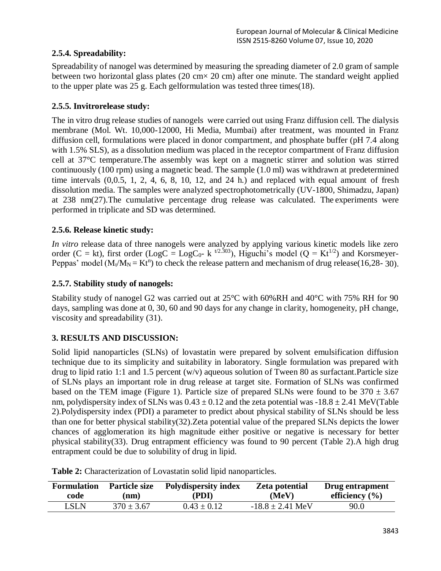# **2.5.4. Spreadability:**

Spreadability of nanogel was determined by measuring the spreading diameter of 2.0 gram of sample between two horizontal glass plates  $(20 \text{ cm} \times 20 \text{ cm})$  after one minute. The standard weight applied to the upper plate was 25 g. Each gelformulation was tested three times(18).

# **2.5.5. Invitrorelease study:**

The in vitro drug release studies of nanogels were carried out using Franz diffusion cell. The dialysis membrane (Mol. Wt. 10,000-12000, Hi Media, Mumbai) after treatment, was mounted in Franz diffusion cell, formulations were placed in donor compartment, and phosphate buffer (pH 7.4 along with 1.5% SLS), as a dissolution medium was placed in the receptor compartment of Franz diffusion cell at 37°C temperature.The assembly was kept on a magnetic stirrer and solution was stirred continuously (100 rpm) using a magnetic bead. The sample (1.0 ml) was withdrawn at predetermined time intervals (0,0.5, 1, 2, 4, 6, 8, 10, 12, and 24 h.) and replaced with equal amount of fresh dissolution media. The samples were analyzed spectrophotometrically (UV-1800, Shimadzu, Japan) at 238 nm(27).The cumulative percentage drug release was calculated. The experiments were performed in triplicate and SD was determined.

# **2.5.6. Release kinetic study:**

*In vitro* release data of three nanogels were analyzed by applying various kinetic models like zero order (C = kt), first order (LogC = LogC<sub>0</sub>- k<sup>t/2.303</sup>), Higuchi's model (Q = Kt<sup>1/2</sup>) and Korsmeyer-Peppas' model ( $M_t/M_N = Kt^n$ ) to check the release pattern and mechanism of drug release(16,28-30).

## **2.5.7. Stability study of nanogels:**

Stability study of nanogel G2 was carried out at 25°C with 60%RH and 40°C with 75% RH for 90 days, sampling was done at 0, 30, 60 and 90 days for any change in clarity, homogeneity, pH change, viscosity and spreadability (31).

# **3. RESULTS AND DISCUSSION:**

Solid lipid nanoparticles (SLNs) of lovastatin were prepared by solvent emulsification diffusion technique due to its simplicity and suitability in laboratory. Single formulation was prepared with drug to lipid ratio 1:1 and 1.5 percent (w/v) aqueous solution of Tween 80 as surfactant.Particle size of SLNs plays an important role in drug release at target site. Formation of SLNs was confirmed based on the TEM image (Figure 1). Particle size of prepared SLNs were found to be  $370 \pm 3.67$ nm, polydispersity index of SLNs was  $0.43 \pm 0.12$  and the zeta potential was  $-18.8 \pm 2.41$  MeV(Table 2).Polydispersity index (PDI) a parameter to predict about physical stability of SLNs should be less than one for better physical stability(32).Zeta potential value of the prepared SLNs depicts the lower chances of agglomeration its high magnitude either positive or negative is necessary for better physical stability(33). Drug entrapment efficiency was found to 90 percent (Table 2).A high drug entrapment could be due to solubility of drug in lipid.

| <b>Formulation</b> | <b>Particle size</b> | <b>Polydispersity index</b> | <b>Zeta potential</b> | Drug entrapment    |
|--------------------|----------------------|-----------------------------|-----------------------|--------------------|
| code               | (nm)                 | (PDI)                       | (MeV)                 | efficiency $(\% )$ |
| LSLN               | $370 \pm 3.67$       | $0.43 \pm 0.12$             | $-18.8 + 2.41$ MeV    | 90.0               |

**Table 2:** Characterization of Lovastatin solid lipid nanoparticles.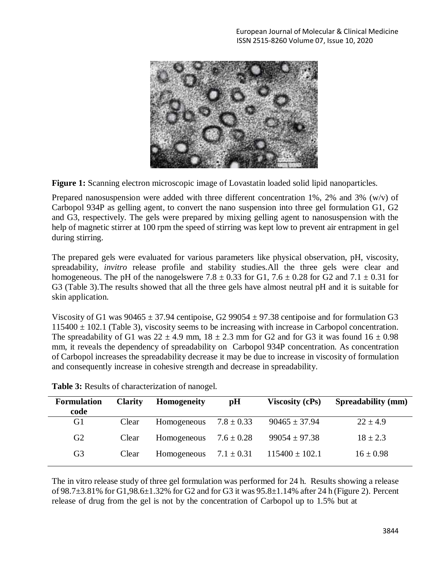

**Figure 1:** Scanning electron microscopic image of Lovastatin loaded solid lipid nanoparticles.

Prepared nanosuspension were added with three different concentration 1%, 2% and 3% (w/v) of Carbopol 934P as gelling agent, to convert the nano suspension into three gel formulation G1, G2 and G3, respectively. The gels were prepared by mixing gelling agent to nanosuspension with the help of magnetic stirrer at 100 rpm the speed of stirring was kept low to prevent air entrapment in gel during stirring.

The prepared gels were evaluated for various parameters like physical observation, pH, viscosity, spreadability, *invitro* release profile and stability studies.All the three gels were clear and homogeneous. The pH of the nanogelswere 7.8  $\pm$  0.33 for G1, 7.6  $\pm$  0.28 for G2 and 7.1  $\pm$  0.31 for G3 (Table 3).The results showed that all the three gels have almost neutral pH and it is suitable for skin application.

Viscosity of G1 was  $90465 \pm 37.94$  centipoise, G2 99054  $\pm$  97.38 centipoise and for formulation G3  $115400 \pm 102.1$  (Table 3), viscosity seems to be increasing with increase in Carbopol concentration. The spreadability of G1 was  $22 \pm 4.9$  mm,  $18 \pm 2.3$  mm for G2 and for G3 it was found  $16 \pm 0.98$ mm, it reveals the dependency of spreadability on Carbopol 934P concentration. As concentration of Carbopol increases the spreadability decrease it may be due to increase in viscosity of formulation and consequently increase in cohesive strength and decrease in spreadability.

| <b>Formulation</b><br>code | <b>Clarity</b> | <b>Homogeneity</b> | pH             | <b>Viscosity (cPs)</b> | <b>Spreadability (mm)</b> |
|----------------------------|----------------|--------------------|----------------|------------------------|---------------------------|
| G1                         | Clear          | Homogeneous        | $7.8 \pm 0.33$ | $90465 \pm 37.94$      | $22 \pm 4.9$              |
| G <sub>2</sub>             | Clear          | Homogeneous        | $7.6 \pm 0.28$ | $99054 \pm 97.38$      | $18 \pm 2.3$              |
| G <sub>3</sub>             | Clear          | Homogeneous        | $7.1 \pm 0.31$ | $115400 \pm 102.1$     | $16 \pm 0.98$             |

**Table 3:** Results of characterization of nanogel.

The in vitro release study of three gel formulation was performed for 24 h. Results showing a release of 98.7±3.81% for G1,98.6±1.32% for G2 and for G3 it was 95.8±1.14% after 24 h (Figure 2). Percent release of drug from the gel is not by the concentration of Carbopol up to 1.5% but at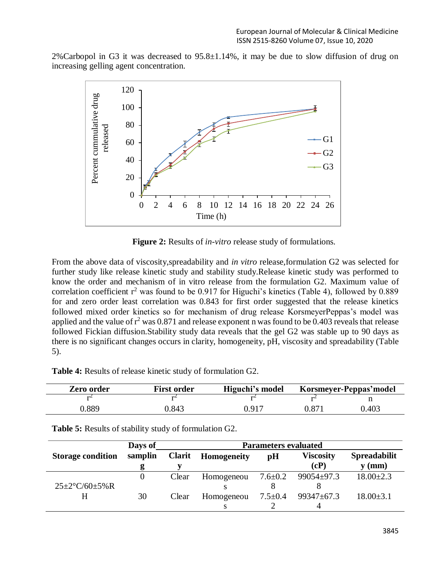2%Carbopol in G3 it was decreased to 95.8±1.14%, it may be due to slow diffusion of drug on increasing gelling agent concentration.



**Figure 2:** Results of *in-vitro* release study of formulations.

From the above data of viscosity,spreadability and *in vitro* release,formulation G2 was selected for further study like release kinetic study and stability study.Release kinetic study was performed to know the order and mechanism of in vitro release from the formulation G2. Maximum value of correlation coefficient  $r^2$  was found to be 0.917 for Higuchi's kinetics (Table 4), followed by 0.889 for and zero order least correlation was 0.843 for first order suggested that the release kinetics followed mixed order kinetics so for mechanism of drug release KorsmeyerPeppas's model was applied and the value of  $r^2$  was 0.871 and release exponent n was found to be 0.403 reveals that release followed Fickian diffusion.Stability study data reveals that the gel G2 was stable up to 90 days as there is no significant changes occurs in clarity, homogeneity, pH, viscosity and spreadability (Table 5).

**Table 4:** Results of release kinetic study of formulation G2.

| Zero order | <b>First order</b> | Higuchi's model | Korsmeyer-Peppas'model |       |
|------------|--------------------|-----------------|------------------------|-------|
|            |                    |                 |                        |       |
| .889       | ).843              | 0.917           | $0.87^{\circ}$         | 0.403 |

|                                     | Days of  | <b>Parameters evaluated</b> |                    |                            |                  |                     |
|-------------------------------------|----------|-----------------------------|--------------------|----------------------------|------------------|---------------------|
| <b>Storage condition</b>            | samplin  | <b>Clarit</b>               | <b>Homogeneity</b> | pH                         | <b>Viscosity</b> | <b>Spreadabilit</b> |
|                                     |          |                             |                    |                            | (cP)             | $y$ (mm)            |
|                                     | $\theta$ | Clear                       | Homogeneou         | $7.6{\scriptstyle \pm0.2}$ | $99054 \pm 97.3$ | $18.00 \pm 2.3$     |
| $25 \pm 2^{\circ}$ C/60 $\pm 5\%$ R |          |                             |                    |                            |                  |                     |
| H                                   | 30       | Clear                       | Homogeneou         | $7.5 \pm 0.4$              | 99347±67.3       | $18.00 \pm 3.1$     |
|                                     |          |                             |                    |                            |                  |                     |

**Table 5:** Results of stability study of formulation G2.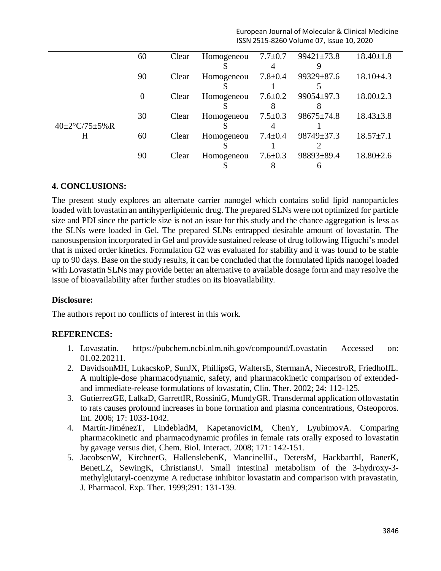| European Journal of Molecular & Clinical Medicine |
|---------------------------------------------------|
| ISSN 2515-8260 Volume 07, Issue 10, 2020          |

|                                   | 60             | Clear | Homogeneou |               | $7.7 \pm 0.7$ 99421 $\pm$ 73.8 | $18.40 \pm 1.8$ |
|-----------------------------------|----------------|-------|------------|---------------|--------------------------------|-----------------|
|                                   |                |       |            |               |                                |                 |
|                                   | 90             | Clear | Homogeneou | $7.8{\pm}0.4$ | 99329±87.6                     | $18.10\pm4.3$   |
|                                   |                |       |            |               |                                |                 |
|                                   | $\overline{0}$ | Clear | Homogeneou | $7.6 \pm 0.2$ | $99054 \pm 97.3$               | $18.00 \pm 2.3$ |
|                                   |                |       |            |               |                                |                 |
|                                   | 30             | Clear | Homogeneou | $7.5 \pm 0.3$ | $98675 \pm 74.8$               | $18.43 \pm 3.8$ |
| $40 \pm 2^{\circ}$ C/75 $\pm$ 5%R |                |       |            | 4             |                                |                 |
| H                                 | 60             | Clear | Homogeneou | $7.4{\pm}0.4$ | $98749 \pm 37.3$               | $18.57 \pm 7.1$ |
|                                   |                |       |            |               |                                |                 |
|                                   | 90             | Clear | Homogeneou | $7.6 \pm 0.3$ | 98893±89.4                     | $18.80 \pm 2.6$ |
|                                   |                |       |            |               |                                |                 |

## **4. CONCLUSIONS:**

The present study explores an alternate carrier nanogel which contains solid lipid nanoparticles loaded with lovastatin an antihyperlipidemic drug. The prepared SLNs were not optimized for particle size and PDI since the particle size is not an issue for this study and the chance aggregation is less as the SLNs were loaded in Gel. The prepared SLNs entrapped desirable amount of lovastatin. The nanosuspension incorporated in Gel and provide sustained release of drug following Higuchi's model that is mixed order kinetics. Formulation G2 was evaluated for stability and it was found to be stable up to 90 days. Base on the study results, it can be concluded that the formulated lipids nanogel loaded with Lovastatin SLNs may provide better an alternative to available dosage form and may resolve the issue of bioavailability after further studies on its bioavailability.

#### **Disclosure:**

The authors report no conflicts of interest in this work.

#### **REFERENCES:**

- 1. Lovastatin. https://pubchem.ncbi.nlm.nih.gov/compound/Lovastatin Accessed on: 01.02.20211.
- 2. DavidsonMH, LukacskoP, SunJX, PhillipsG, WaltersE, StermanA, NiecestroR, FriedhoffL. A multiple-dose pharmacodynamic, safety, and pharmacokinetic comparison of extendedand immediate-release formulations of lovastatin, Clin. Ther. 2002; 24: 112-125.
- 3. GutierrezGE, LalkaD, GarrettIR, RossiniG, MundyGR. Transdermal application oflovastatin to rats causes profound increases in bone formation and plasma concentrations, Osteoporos. Int. 2006; 17: 1033-1042.
- 4. Martín-JiménezT, LindebladM, KapetanovicIM, ChenY, LyubimovA. Comparing pharmacokinetic and pharmacodynamic profiles in female rats orally exposed to lovastatin by gavage versus diet, Chem. Biol. Interact. 2008; 171: 142-151.
- 5. JacobsenW, KirchnerG, HallenslebenK, MancinelliL, DetersM, HackbarthI, BanerK, BenetLZ, SewingK, ChristiansU. Small intestinal metabolism of the 3-hydroxy-3 methylglutaryl-coenzyme A reductase inhibitor lovastatin and comparison with pravastatin, J. Pharmacol. Exp. Ther. 1999;291: 131-139.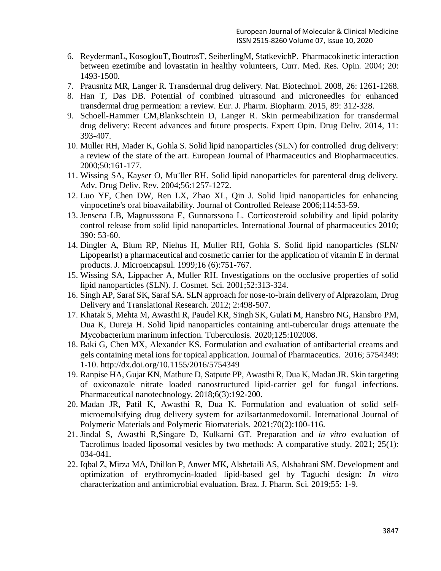- 6. ReydermanL, KosoglouT, BoutrosT, SeiberlingM, StatkevichP. Pharmacokinetic interaction between ezetimibe and lovastatin in healthy volunteers, Curr. Med. Res. Opin. 2004; 20: 1493-1500.
- 7. Prausnitz MR, Langer R. Transdermal drug delivery. Nat. Biotechnol. 2008, 26: 1261-1268.
- 8. Han T, Das DB. Potential of combined ultrasound and microneedles for enhanced transdermal drug permeation: a review. Eur. J. Pharm. Biopharm. 2015, 89: 312-328.
- 9. Schoell-Hammer CM,Blankschtein D, Langer R. Skin permeabilization for transdermal drug delivery: Recent advances and future prospects. Expert Opin. Drug Deliv. 2014, 11: 393-407.
- 10. Muller RH, Mader K, Gohla S. Solid lipid nanoparticles (SLN) for controlled drug delivery: a review of the state of the art. European Journal of Pharmaceutics and Biopharmaceutics. 2000;50:161-177.
- 11. Wissing SA, Kayser O, Mu¨ller RH. Solid lipid nanoparticles for parenteral drug delivery. Adv. Drug Deliv. Rev. 2004;56:1257-1272.
- 12. Luo YF, Chen DW, Ren LX, Zhao XL, Qin J. Solid lipid nanoparticles for enhancing vinpocetine's oral bioavailability. Journal of Controlled Release 2006;114:53-59.
- 13. Jensena LB, Magnusssona E, Gunnarssona L. Corticosteroid solubility and lipid polarity control release from solid lipid nanoparticles. International Journal of pharmaceutics 2010; 390: 53-60.
- 14. Dingler A, Blum RP, Niehus H, Muller RH, Gohla S. Solid lipid nanoparticles (SLN/ Lipopearlst) a pharmaceutical and cosmetic carrier for the application of vitamin E in dermal products. J. Microencapsul. 1999;16 (6):751-767.
- 15. Wissing SA, Lippacher A, Muller RH. Investigations on the occlusive properties of solid lipid nanoparticles (SLN). J. Cosmet. Sci. 2001;52:313-324.
- 16. Singh AP, Saraf SK, Saraf SA. SLN approach for nose-to-brain delivery of Alprazolam, Drug Delivery and Translational Research. 2012; 2:498-507.
- 17. Khatak S, Mehta M, Awasthi R, Paudel KR, Singh SK, Gulati M, Hansbro NG, Hansbro PM, Dua K, Dureja H. Solid lipid nanoparticles containing anti-tubercular drugs attenuate the Mycobacterium marinum infection. Tuberculosis. 2020;125:102008.
- 18. Baki G, Chen MX, Alexander KS. Formulation and evaluation of antibacterial creams and gels containing metal ions for topical application. Journal of Pharmaceutics. 2016; 5754349: 1-10.<http://dx.doi.org/10.1155/2016/5754349>
- 19. Ranpise HA, Gujar KN, Mathure D, Satpute PP, Awasthi R, Dua K, Madan JR. Skin targeting of oxiconazole nitrate loaded nanostructured lipid-carrier gel for fungal infections. Pharmaceutical nanotechnology. 2018;6(3):192-200.
- 20. Madan JR, Patil K, Awasthi R, Dua K. Formulation and evaluation of solid selfmicroemulsifying drug delivery system for azilsartanmedoxomil. International Journal of Polymeric Materials and Polymeric Biomaterials. 2021;70(2):100-116.
- 21. Jindal S, Awasthi R,Singare D, Kulkarni GT. Preparation and *in vitro* evaluation of Tacrolimus loaded liposomal vesicles by two methods: A comparative study. 2021; 25(1): 034-041.
- 22. Iqbal Z, Mirza MA, Dhillon P, Anwer MK, Alshetaili AS, Alshahrani SM. Development and optimization of erythromycin-loaded lipid-based gel by Taguchi design: *In vitro* characterization and antimicrobial evaluation. Braz. J. Pharm. Sci. 2019;55: 1-9.